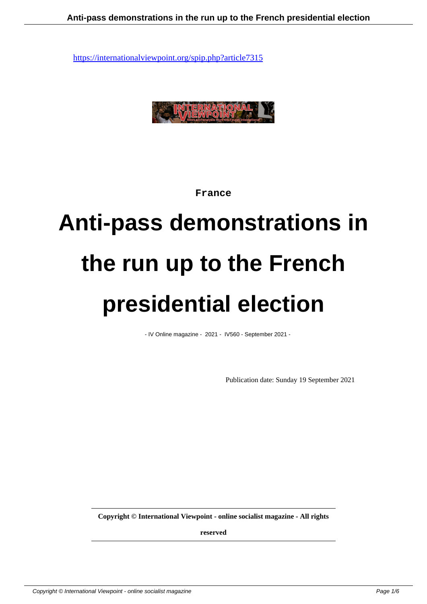

**France**

# **Anti-pass demonstrations in the run up to the French presidential election**

- IV Online magazine - 2021 - IV560 - September 2021 -

Publication date: Sunday 19 September 2021

**Copyright © International Viewpoint - online socialist magazine - All rights**

**reserved**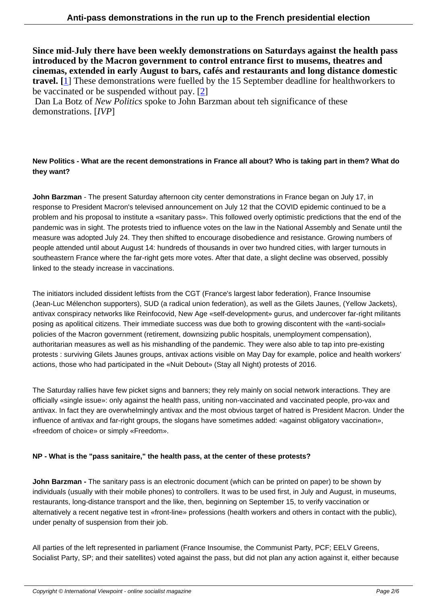**Since mid-July there have been weekly demonstrations on Saturdays against the health pass introduced by the Macron government to control entrance first to musems, theatres and cinemas, extended in early August to bars, cafés and restaurants and long distance domestic travel. [**1] These demonstrations were fuelled by the 15 September deadline for healthworkers to be vaccinated or be suspended without pay. [2]

 Dan La Botz of *New Politics* spoke to John Barzman about teh significance of these demons[tra](#nb1)tions. [*IVP*]

## **New Politics - What are the recent demonstrations in France all about? Who is taking part in them? What do they want?**

**John Barzman** - The present Saturday afternoon city center demonstrations in France began on July 17, in response to President Macron's televised announcement on July 12 that the COVID epidemic continued to be a problem and his proposal to institute a «sanitary pass». This followed overly optimistic predictions that the end of the pandemic was in sight. The protests tried to influence votes on the law in the National Assembly and Senate until the measure was adopted July 24. They then shifted to encourage disobedience and resistance. Growing numbers of people attended until about August 14: hundreds of thousands in over two hundred cities, with larger turnouts in southeastern France where the far-right gets more votes. After that date, a slight decline was observed, possibly linked to the steady increase in vaccinations.

The initiators included dissident leftists from the CGT (France's largest labor federation), France Insoumise (Jean-Luc Mélenchon supporters), SUD (a radical union federation), as well as the Gilets Jaunes, (Yellow Jackets), antivax conspiracy networks like Reinfocovid, New Age «self-development» gurus, and undercover far-right militants posing as apolitical citizens. Their immediate success was due both to growing discontent with the «anti-social» policies of the Macron government (retirement, downsizing public hospitals, unemployment compensation), authoritarian measures as well as his mishandling of the pandemic. They were also able to tap into pre-existing protests : surviving Gilets Jaunes groups, antivax actions visible on May Day for example, police and health workers' actions, those who had participated in the «Nuit Debout» (Stay all Night) protests of 2016.

The Saturday rallies have few picket signs and banners; they rely mainly on social network interactions. They are officially «single issue»: only against the health pass, uniting non-vaccinated and vaccinated people, pro-vax and antivax. In fact they are overwhelmingly antivax and the most obvious target of hatred is President Macron. Under the influence of antivax and far-right groups, the slogans have sometimes added: «against obligatory vaccination», «freedom of choice» or simply «Freedom».

### **NP - What is the "pass sanitaire," the health pass, at the center of these protests?**

**John Barzman -** The sanitary pass is an electronic document (which can be printed on paper) to be shown by individuals (usually with their mobile phones) to controllers. It was to be used first, in July and August, in museums, restaurants, long-distance transport and the like, then, beginning on September 15, to verify vaccination or alternatively a recent negative test in «front-line» professions (health workers and others in contact with the public), under penalty of suspension from their job.

All parties of the left represented in parliament (France Insoumise, the Communist Party, PCF; EELV Greens, Socialist Party, SP; and their satellites) voted against the pass, but did not plan any action against it, either because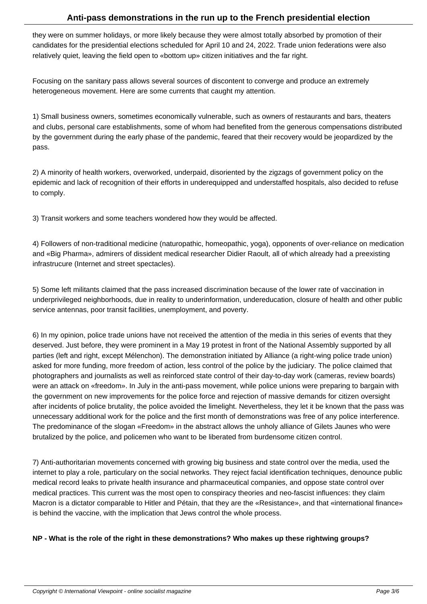they were on summer holidays, or more likely because they were almost totally absorbed by promotion of their candidates for the presidential elections scheduled for April 10 and 24, 2022. Trade union federations were also relatively quiet, leaving the field open to «bottom up» citizen initiatives and the far right.

Focusing on the sanitary pass allows several sources of discontent to converge and produce an extremely heterogeneous movement. Here are some currents that caught my attention.

1) Small business owners, sometimes economically vulnerable, such as owners of restaurants and bars, theaters and clubs, personal care establishments, some of whom had benefited from the generous compensations distributed by the government during the early phase of the pandemic, feared that their recovery would be jeopardized by the pass.

2) A minority of health workers, overworked, underpaid, disoriented by the zigzags of government policy on the epidemic and lack of recognition of their efforts in underequipped and understaffed hospitals, also decided to refuse to comply.

3) Transit workers and some teachers wondered how they would be affected.

4) Followers of non-traditional medicine (naturopathic, homeopathic, yoga), opponents of over-reliance on medication and «Big Pharma», admirers of dissident medical researcher Didier Raoult, all of which already had a preexisting infrastrucure (Internet and street spectacles).

5) Some left militants claimed that the pass increased discrimination because of the lower rate of vaccination in underprivileged neighborhoods, due in reality to underinformation, undereducation, closure of health and other public service antennas, poor transit facilities, unemployment, and poverty.

6) In my opinion, police trade unions have not received the attention of the media in this series of events that they deserved. Just before, they were prominent in a May 19 protest in front of the National Assembly supported by all parties (left and right, except Mélenchon). The demonstration initiated by Alliance (a right-wing police trade union) asked for more funding, more freedom of action, less control of the police by the judiciary. The police claimed that photographers and journalists as well as reinforced state control of their day-to-day work (cameras, review boards) were an attack on «freedom». In July in the anti-pass movement, while police unions were preparing to bargain with the government on new improvements for the police force and rejection of massive demands for citizen oversight after incidents of police brutality, the police avoided the limelight. Nevertheless, they let it be known that the pass was unnecessary additional work for the police and the first month of demonstrations was free of any police interference. The predominance of the slogan «Freedom» in the abstract allows the unholy alliance of Gilets Jaunes who were brutalized by the police, and policemen who want to be liberated from burdensome citizen control.

7) Anti-authoritarian movements concerned with growing big business and state control over the media, used the internet to play a role, particulary on the social networks. They reject facial identification techniques, denounce public medical record leaks to private health insurance and pharmaceutical companies, and oppose state control over medical practices. This current was the most open to conspiracy theories and neo-fascist influences: they claim Macron is a dictator comparable to Hitler and Pétain, that they are the «Resistance», and that «international finance» is behind the vaccine, with the implication that Jews control the whole process.

### **NP - What is the role of the right in these demonstrations? Who makes up these rightwing groups?**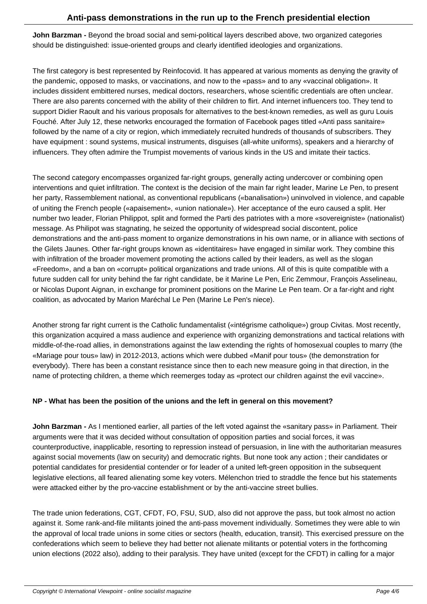**John Barzman -** Beyond the broad social and semi-political layers described above, two organized categories should be distinguished: issue-oriented groups and clearly identified ideologies and organizations.

The first category is best represented by Reinfocovid. It has appeared at various moments as denying the gravity of the pandemic, opposed to masks, or vaccinations, and now to the «pass» and to any «vaccinal obligation». It includes dissident embittered nurses, medical doctors, researchers, whose scientific credentials are often unclear. There are also parents concerned with the ability of their children to flirt. And internet influencers too. They tend to support Didier Raoult and his various proposals for alternatives to the best-known remedies, as well as guru Louis Fouché. After July 12, these networks encouraged the formation of Facebook pages titled «Anti pass sanitaire» followed by the name of a city or region, which immediately recruited hundreds of thousands of subscribers. They have equipment : sound systems, musical instruments, disguises (all-white uniforms), speakers and a hierarchy of influencers. They often admire the Trumpist movements of various kinds in the US and imitate their tactics.

The second category encompasses organized far-right groups, generally acting undercover or combining open interventions and quiet infiltration. The context is the decision of the main far right leader, Marine Le Pen, to present her party, Rassemblement national, as conventional republicans («banalisation») uninvolved in violence, and capable of uniting the French people («apaisement», «union nationale»). Her acceptance of the euro caused a split. Her number two leader, Florian Philippot, split and formed the Parti des patriotes with a more «sovereigniste» (nationalist) message. As Philipot was stagnating, he seized the opportunity of widespread social discontent, police demonstrations and the anti-pass moment to organize demonstrations in his own name, or in alliance with sections of the Gilets Jaunes. Other far-right groups known as «identitaires» have engaged in similar work. They combine this with infiltration of the broader movement promoting the actions called by their leaders, as well as the slogan «Freedom», and a ban on «corrupt» political organizations and trade unions. All of this is quite compatible with a future sudden call for unity behind the far right candidate, be it Marine Le Pen, Eric Zemmour, François Asselineau, or Nicolas Dupont Aignan, in exchange for prominent positions on the Marine Le Pen team. Or a far-right and right coalition, as advocated by Marion Maréchal Le Pen (Marine Le Pen's niece).

Another strong far right current is the Catholic fundamentalist («intégrisme catholique») group Civitas. Most recently, this organization acquired a mass audience and experience with organizing demonstrations and tactical relations with middle-of-the-road allies, in demonstrations against the law extending the rights of homosexual couples to marry (the «Mariage pour tous» law) in 2012-2013, actions which were dubbed «Manif pour tous» (the demonstration for everybody). There has been a constant resistance since then to each new measure going in that direction, in the name of protecting children, a theme which reemerges today as «protect our children against the evil vaccine».

### **NP - What has been the position of the unions and the left in general on this movement?**

**John Barzman -** As I mentioned earlier, all parties of the left voted against the «sanitary pass» in Parliament. Their arguments were that it was decided without consultation of opposition parties and social forces, it was counterproductive, inapplicable, resorting to repression instead of persuasion, in line with the authoritarian measures against social movements (law on security) and democratic rights. But none took any action ; their candidates or potential candidates for presidential contender or for leader of a united left-green opposition in the subsequent legislative elections, all feared alienating some key voters. Mélenchon tried to straddle the fence but his statements were attacked either by the pro-vaccine establishment or by the anti-vaccine street bullies.

The trade union federations, CGT, CFDT, FO, FSU, SUD, also did not approve the pass, but took almost no action against it. Some rank-and-file militants joined the anti-pass movement individually. Sometimes they were able to win the approval of local trade unions in some cities or sectors (health, education, transit). This exercised pressure on the confederations which seem to believe they had better not alienate militants or potential voters in the forthcoming union elections (2022 also), adding to their paralysis. They have united (except for the CFDT) in calling for a major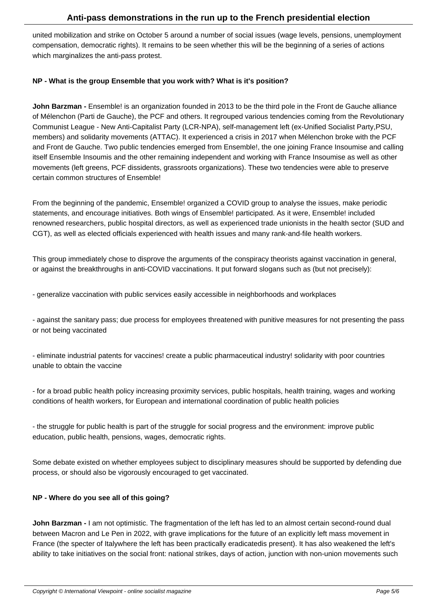united mobilization and strike on October 5 around a number of social issues (wage levels, pensions, unemployment compensation, democratic rights). It remains to be seen whether this will be the beginning of a series of actions which marginalizes the anti-pass protest.

#### **NP - What is the group Ensemble that you work with? What is it's position?**

**John Barzman -** Ensemble! is an organization founded in 2013 to be the third pole in the Front de Gauche alliance of Mélenchon (Parti de Gauche), the PCF and others. It regrouped various tendencies coming from the Revolutionary Communist League - New Anti-Capitalist Party (LCR-NPA), self-management left (ex-Unified Socialist Party,PSU, members) and solidarity movements (ATTAC). It experienced a crisis in 2017 when Mélenchon broke with the PCF and Front de Gauche. Two public tendencies emerged from Ensemble!, the one joining France Insoumise and calling itself Ensemble Insoumis and the other remaining independent and working with France Insoumise as well as other movements (left greens, PCF dissidents, grassroots organizations). These two tendencies were able to preserve certain common structures of Ensemble!

From the beginning of the pandemic, Ensemble! organized a COVID group to analyse the issues, make periodic statements, and encourage initiatives. Both wings of Ensemble! participated. As it were, Ensemble! included renowned researchers, public hospital directors, as well as experienced trade unionists in the health sector (SUD and CGT), as well as elected officials experienced with health issues and many rank-and-file health workers.

This group immediately chose to disprove the arguments of the conspiracy theorists against vaccination in general, or against the breakthroughs in anti-COVID vaccinations. It put forward slogans such as (but not precisely):

- generalize vaccination with public services easily accessible in neighborhoods and workplaces

- against the sanitary pass; due process for employees threatened with punitive measures for not presenting the pass or not being vaccinated

- eliminate industrial patents for vaccines! create a public pharmaceutical industry! solidarity with poor countries unable to obtain the vaccine

- for a broad public health policy increasing proximity services, public hospitals, health training, wages and working conditions of health workers, for European and international coordination of public health policies

- the struggle for public health is part of the struggle for social progress and the environment: improve public education, public health, pensions, wages, democratic rights.

Some debate existed on whether employees subject to disciplinary measures should be supported by defending due process, or should also be vigorously encouraged to get vaccinated.

### **NP - Where do you see all of this going?**

**John Barzman -** I am not optimistic. The fragmentation of the left has led to an almost certain second-round dual between Macron and Le Pen in 2022, with grave implications for the future of an explicitly left mass movement in France (the specter of Italy where the left has been practically eradicated is present). It has also weakened the left's ability to take initiatives on the social front: national strikes, days of action, junction with non-union movements such